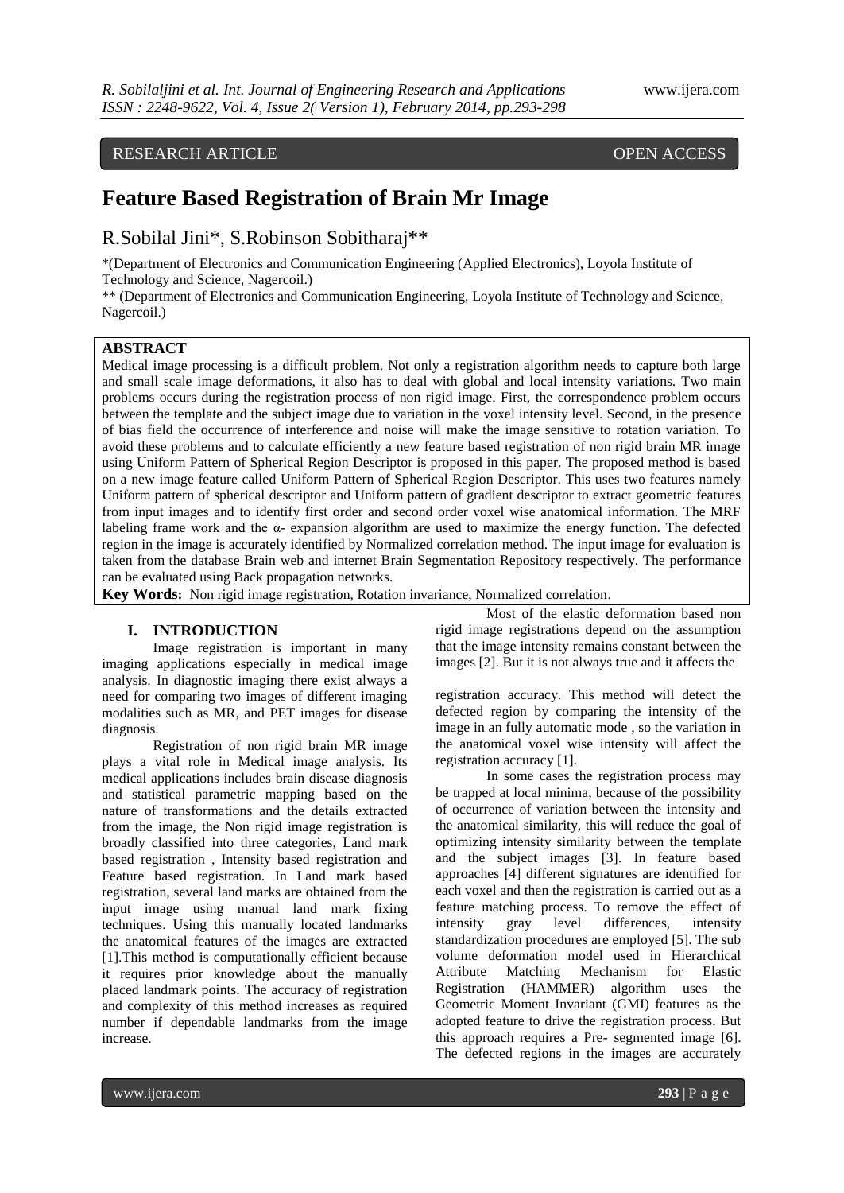# RESEARCH ARTICLE OPEN ACCESS

# **Feature Based Registration of Brain Mr Image**

# R.Sobilal Jini\*, S.Robinson Sobitharaj\*\*

\*(Department of Electronics and Communication Engineering (Applied Electronics), Loyola Institute of Technology and Science, Nagercoil.)

\*\* (Department of Electronics and Communication Engineering, Loyola Institute of Technology and Science, Nagercoil.)

# **ABSTRACT**

Medical image processing is a difficult problem. Not only a registration algorithm needs to capture both large and small scale image deformations, it also has to deal with global and local intensity variations. Two main problems occurs during the registration process of non rigid image. First, the correspondence problem occurs between the template and the subject image due to variation in the voxel intensity level. Second, in the presence of bias field the occurrence of interference and noise will make the image sensitive to rotation variation. To avoid these problems and to calculate efficiently a new feature based registration of non rigid brain MR image using Uniform Pattern of Spherical Region Descriptor is proposed in this paper. The proposed method is based on a new image feature called Uniform Pattern of Spherical Region Descriptor. This uses two features namely Uniform pattern of spherical descriptor and Uniform pattern of gradient descriptor to extract geometric features from input images and to identify first order and second order voxel wise anatomical information. The MRF labeling frame work and the α- expansion algorithm are used to maximize the energy function. The defected region in the image is accurately identified by Normalized correlation method. The input image for evaluation is taken from the database Brain web and internet Brain Segmentation Repository respectively. The performance can be evaluated using Back propagation networks.

**Key Words:** Non rigid image registration, Rotation invariance, Normalized correlation.

### **I. INTRODUCTION**

Image registration is important in many imaging applications especially in medical image analysis. In diagnostic imaging there exist always a need for comparing two images of different imaging modalities such as MR, and PET images for disease diagnosis.

Registration of non rigid brain MR image plays a vital role in Medical image analysis. Its medical applications includes brain disease diagnosis and statistical parametric mapping based on the nature of transformations and the details extracted from the image, the Non rigid image registration is broadly classified into three categories, Land mark based registration , Intensity based registration and Feature based registration. In Land mark based registration, several land marks are obtained from the input image using manual land mark fixing techniques. Using this manually located landmarks the anatomical features of the images are extracted [1].This method is computationally efficient because it requires prior knowledge about the manually placed landmark points. The accuracy of registration and complexity of this method increases as required number if dependable landmarks from the image increase.

Most of the elastic deformation based non rigid image registrations depend on the assumption that the image intensity remains constant between the images [2]. But it is not always true and it affects the

registration accuracy. This method will detect the defected region by comparing the intensity of the image in an fully automatic mode , so the variation in the anatomical voxel wise intensity will affect the registration accuracy [1].

In some cases the registration process may be trapped at local minima, because of the possibility of occurrence of variation between the intensity and the anatomical similarity, this will reduce the goal of optimizing intensity similarity between the template and the subject images [3]. In feature based approaches [4] different signatures are identified for each voxel and then the registration is carried out as a feature matching process. To remove the effect of intensity gray level differences, intensity standardization procedures are employed [5]. The sub volume deformation model used in Hierarchical Attribute Matching Mechanism for Elastic Registration (HAMMER) algorithm uses the Geometric Moment Invariant (GMI) features as the adopted feature to drive the registration process. But this approach requires a Pre- segmented image [6]. The defected regions in the images are accurately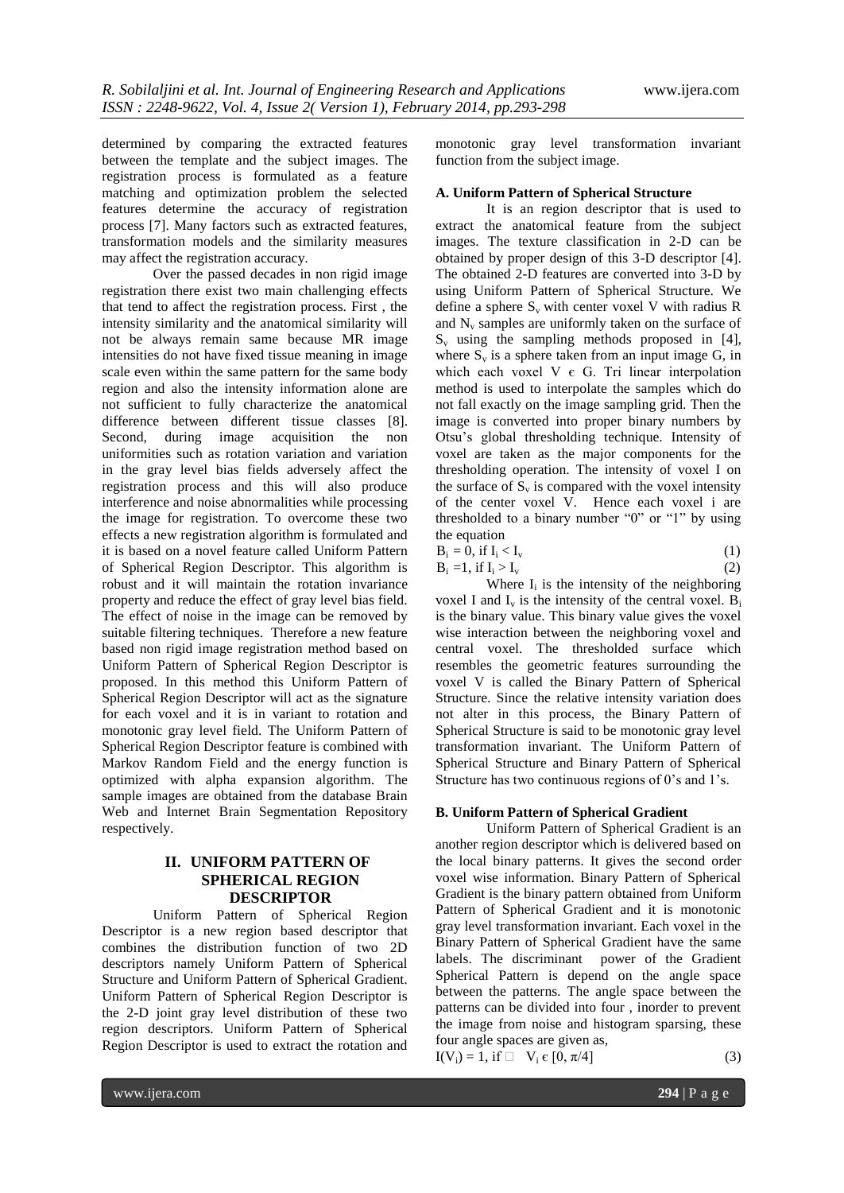determined by comparing the extracted features between the template and the subject images. The registration process is formulated as a feature matching and optimization problem the selected features determine the accuracy of registration process [7]. Many factors such as extracted features, transformation models and the similarity measures may affect the registration accuracy.

Over the passed decades in non rigid image registration there exist two main challenging effects that tend to affect the registration process. First , the intensity similarity and the anatomical similarity will not be always remain same because MR image intensities do not have fixed tissue meaning in image scale even within the same pattern for the same body region and also the intensity information alone are not sufficient to fully characterize the anatomical difference between different tissue classes [8]. Second, during image acquisition the non uniformities such as rotation variation and variation in the gray level bias fields adversely affect the registration process and this will also produce interference and noise abnormalities while processing the image for registration. To overcome these two effects a new registration algorithm is formulated and it is based on a novel feature called Uniform Pattern of Spherical Region Descriptor. This algorithm is robust and it will maintain the rotation invariance property and reduce the effect of gray level bias field. The effect of noise in the image can be removed by suitable filtering techniques. Therefore a new feature based non rigid image registration method based on Uniform Pattern of Spherical Region Descriptor is proposed. In this method this Uniform Pattern of Spherical Region Descriptor will act as the signature for each voxel and it is in variant to rotation and monotonic gray level field. The Uniform Pattern of Spherical Region Descriptor feature is combined with Markov Random Field and the energy function is optimized with alpha expansion algorithm. The sample images are obtained from the database Brain Web and Internet Brain Segmentation Repository respectively.

# **II. UNIFORM PATTERN OF SPHERICAL REGION DESCRIPTOR**

Uniform Pattern of Spherical Region Descriptor is a new region based descriptor that combines the distribution function of two 2D descriptors namely Uniform Pattern of Spherical Structure and Uniform Pattern of Spherical Gradient. Uniform Pattern of Spherical Region Descriptor is the 2-D joint gray level distribution of these two region descriptors. Uniform Pattern of Spherical Region Descriptor is used to extract the rotation and

monotonic gray level transformation invariant function from the subject image.

#### **A. Uniform Pattern of Spherical Structure**

It is an region descriptor that is used to extract the anatomical feature from the subject images. The texture classification in 2-D can be obtained by proper design of this 3-D descriptor [4]. The obtained 2-D features are converted into 3-D by using Uniform Pattern of Spherical Structure. We define a sphere  $S_v$  with center voxel V with radius R and  $N_v$  samples are uniformly taken on the surface of  $S_v$  using the sampling methods proposed in [4], where  $S_v$  is a sphere taken from an input image G, in which each voxel V  $\epsilon$  G. Tri linear interpolation method is used to interpolate the samples which do not fall exactly on the image sampling grid. Then the image is converted into proper binary numbers by Otsu's global thresholding technique. Intensity of voxel are taken as the major components for the thresholding operation. The intensity of voxel I on the surface of  $S_v$  is compared with the voxel intensity of the center voxel V. Hence each voxel i are thresholded to a binary number "0" or "1" by using the equation

$$
B_i = 0, \text{ if } I_i < I_v \tag{1}
$$
\n
$$
B_i = 1, \text{ if } I_i > I_v \tag{2}
$$

Where  $I_i$  is the intensity of the neighboring voxel I and  $I_v$  is the intensity of the central voxel.  $B_i$ is the binary value. This binary value gives the voxel wise interaction between the neighboring voxel and central voxel. The thresholded surface which resembles the geometric features surrounding the voxel V is called the Binary Pattern of Spherical Structure. Since the relative intensity variation does not alter in this process, the Binary Pattern of Spherical Structure is said to be monotonic gray level transformation invariant. The Uniform Pattern of Spherical Structure and Binary Pattern of Spherical Structure has two continuous regions of 0's and 1's.

#### **B. Uniform Pattern of Spherical Gradient**

Uniform Pattern of Spherical Gradient is an another region descriptor which is delivered based on the local binary patterns. It gives the second order voxel wise information. Binary Pattern of Spherical Gradient is the binary pattern obtained from Uniform Pattern of Spherical Gradient and it is monotonic gray level transformation invariant. Each voxel in the Binary Pattern of Spherical Gradient have the same labels. The discriminant power of the Gradient Spherical Pattern is depend on the angle space between the patterns. The angle space between the patterns can be divided into four , inorder to prevent the image from noise and histogram sparsing, these four angle spaces are given as,

 $I(V_i) = 1$ , if  $\Box$   $V_i \in [0, \pi/4]$  (3)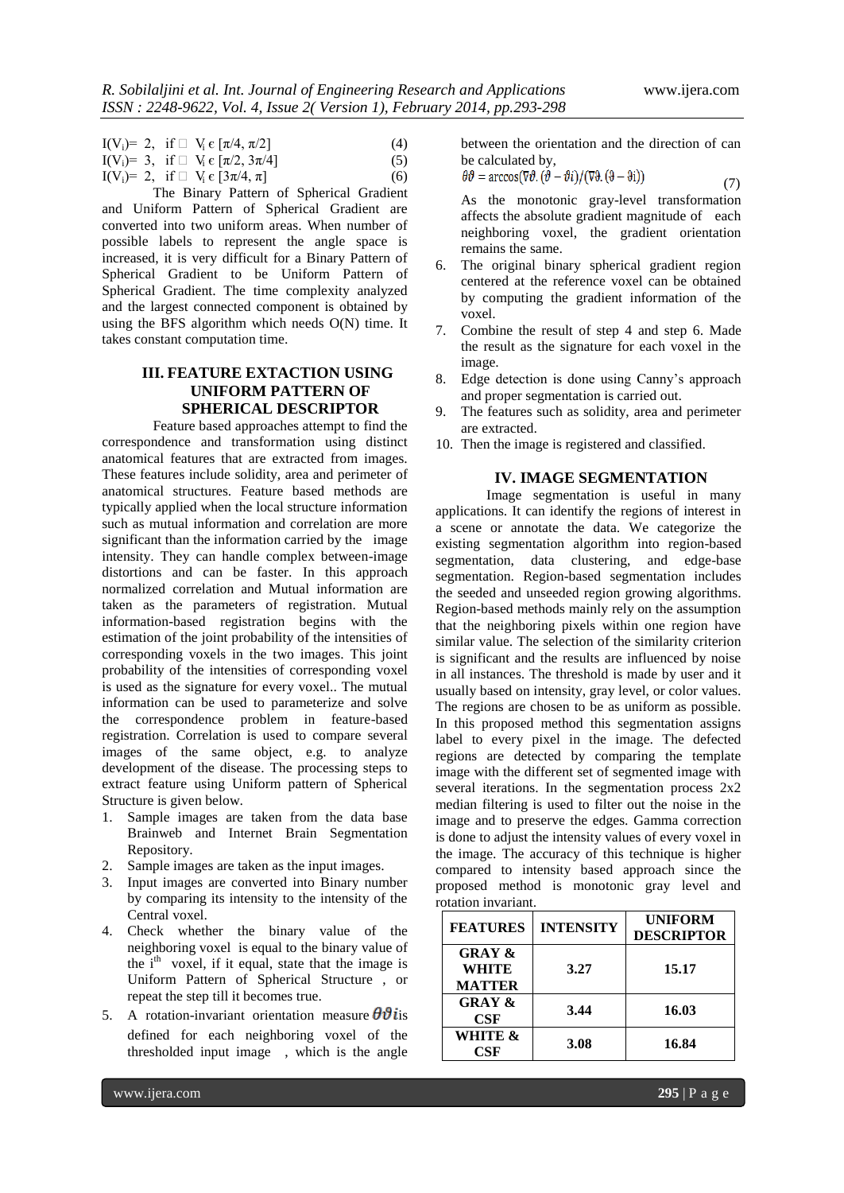|  | $I(V_i) = 2$ , if $\Box$ $V_i \in [\pi/4, \pi/2]$  | (4) |
|--|----------------------------------------------------|-----|
|  | $I(V_i) = 3$ , if $\Box$ $V_i \in [\pi/2, 3\pi/4]$ | (5) |

$$
I(V_i)= 2, \text{ if } \square V_i \in [3\pi/4, \pi] \tag{6}
$$

The Binary Pattern of Spherical Gradient and Uniform Pattern of Spherical Gradient are converted into two uniform areas. When number of possible labels to represent the angle space is increased, it is very difficult for a Binary Pattern of Spherical Gradient to be Uniform Pattern of Spherical Gradient. The time complexity analyzed and the largest connected component is obtained by using the BFS algorithm which needs O(N) time. It takes constant computation time.

# **III. FEATURE EXTACTION USING UNIFORM PATTERN OF SPHERICAL DESCRIPTOR**

Feature based approaches attempt to find the correspondence and transformation using distinct anatomical features that are extracted from images. These features include solidity, area and perimeter of anatomical structures. Feature based methods are typically applied when the local structure information such as mutual information and correlation are more significant than the information carried by the image intensity. They can handle complex between-image distortions and can be faster. In this approach normalized correlation and Mutual information are taken as the parameters of registration. Mutual information-based registration begins with the estimation of the joint probability of the intensities of corresponding voxels in the two images. This joint probability of the intensities of corresponding voxel is used as the signature for every voxel.. The mutual information can be used to parameterize and solve the correspondence problem in feature-based registration. Correlation is used to compare several images of the same object, e.g. to analyze development of the disease. The processing steps to extract feature using Uniform pattern of Spherical Structure is given below.

- 1. Sample images are taken from the data base Brainweb and Internet Brain Segmentation Repository.
- 2. Sample images are taken as the input images.
- 3. Input images are converted into Binary number by comparing its intensity to the intensity of the Central voxel.
- 4. Check whether the binary value of the neighboring voxel is equal to the binary value of the  $i<sup>th</sup>$  voxel, if it equal, state that the image is Uniform Pattern of Spherical Structure , or repeat the step till it becomes true.
- 5. A rotation-invariant orientation measure  $\theta \vartheta$  is defined for each neighboring voxel of the thresholded input image , which is the angle

between the orientation and the direction of can be calculated by,  $\frac{1}{2}$ 

$$
\theta \vartheta = \arccos(\nabla \vartheta \cdot (\vartheta - \vartheta i) / (\nabla \vartheta \cdot (\vartheta - \vartheta i))
$$
\n(7)

As the monotonic gray-level transformation affects the absolute gradient magnitude of each neighboring voxel, the gradient orientation remains the same.

- 6. The original binary spherical gradient region centered at the reference voxel can be obtained by computing the gradient information of the voxel.
- 7. Combine the result of step 4 and step 6. Made the result as the signature for each voxel in the image.
- 8. Edge detection is done using Canny's approach and proper segmentation is carried out.
- 9. The features such as solidity, area and perimeter are extracted.
- 10. Then the image is registered and classified.

# **IV. IMAGE SEGMENTATION**

Image segmentation is useful in many applications. It can identify the regions of interest in a scene or annotate the data. We categorize the existing segmentation algorithm into region-based segmentation, data clustering, and edge-base segmentation. Region-based segmentation includes the seeded and unseeded region growing algorithms. Region-based methods mainly rely on the assumption that the neighboring pixels within one region have similar value. The selection of the similarity criterion is significant and the results are influenced by noise in all instances. The threshold is made by user and it usually based on intensity, gray level, or color values. The regions are chosen to be as uniform as possible. In this proposed method this segmentation assigns label to every pixel in the image. The defected regions are detected by comparing the template image with the different set of segmented image with several iterations. In the segmentation process 2x2 median filtering is used to filter out the noise in the image and to preserve the edges. Gamma correction is done to adjust the intensity values of every voxel in the image. The accuracy of this technique is higher compared to intensity based approach since the proposed method is monotonic gray level and rotation invariant.

| <b>FEATURES</b>                                    | <b>INTENSITY</b> | <b>UNIFORM</b><br><b>DESCRIPTOR</b> |
|----------------------------------------------------|------------------|-------------------------------------|
| <b>GRAY &amp;</b><br><b>WHITE</b><br><b>MATTER</b> | 3.27             | 15.17                               |
| <b>GRAY &amp;</b><br>$\bf CSF$                     | 3.44             | 16.03                               |
| WHITE &<br>CSF                                     | 3.08             | 16.84                               |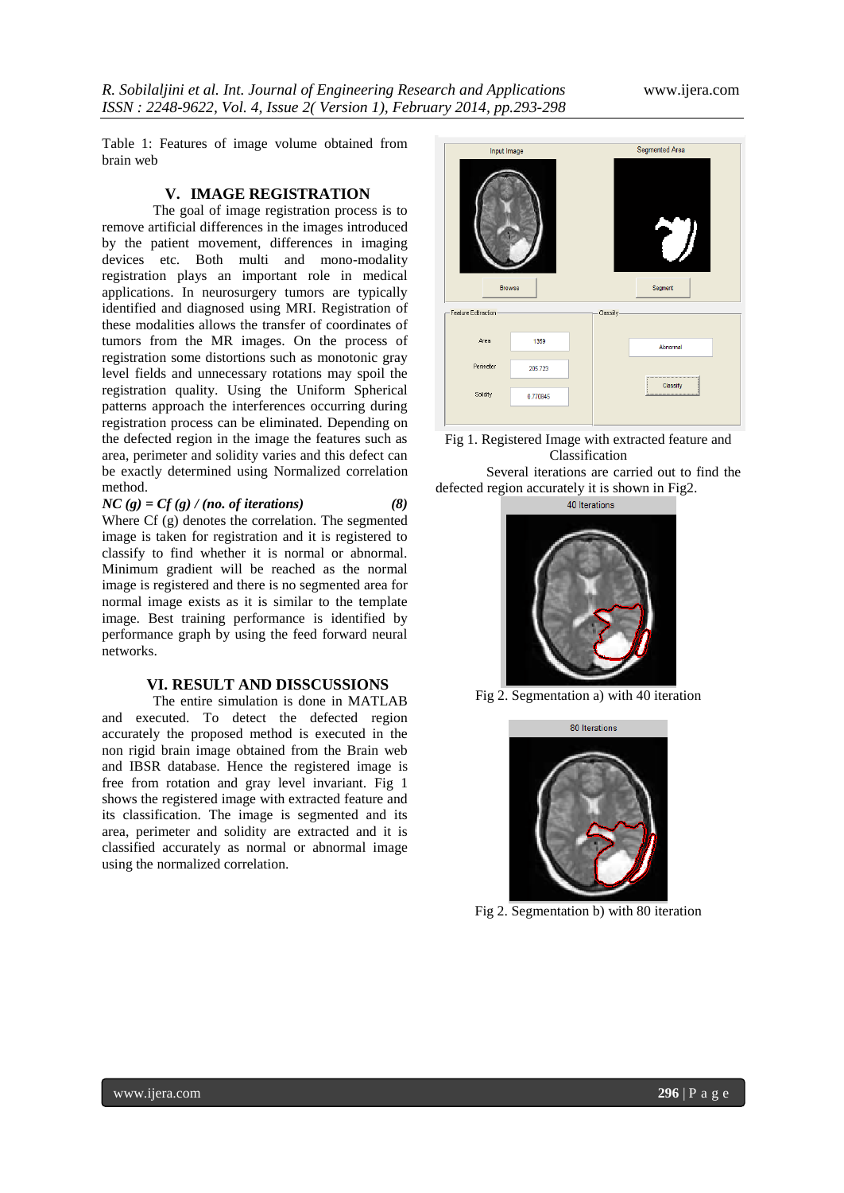Table 1: Features of image volume obtained from brain web

### **V. IMAGE REGISTRATION**

The goal of image registration process is to remove artificial differences in the images introduced by the patient movement, differences in imaging devices etc. Both multi and mono-modality registration plays an important role in medical applications. In neurosurgery tumors are typically identified and diagnosed using MRI. Registration of these modalities allows the transfer of coordinates of tumors from the MR images. On the process of registration some distortions such as monotonic gray level fields and unnecessary rotations may spoil the registration quality. Using the Uniform Spherical patterns approach the interferences occurring during registration process can be eliminated. Depending on the defected region in the image the features such as area, perimeter and solidity varies and this defect can be exactly determined using Normalized correlation method.

 $NC(g) = Cf(g) / (no. of iterations)$ 

Where Cf (g) denotes the correlation. The segmented image is taken for registration and it is registered to classify to find whether it is normal or abnormal. Minimum gradient will be reached as the normal image is registered and there is no segmented area for normal image exists as it is similar to the template image. Best training performance is identified by performance graph by using the feed forward neural networks.

#### **VI. RESULT AND DISSCUSSIONS**

The entire simulation is done in MATLAB and executed. To detect the defected region accurately the proposed method is executed in the non rigid brain image obtained from the Brain web and IBSR database. Hence the registered image is free from rotation and gray level invariant. Fig 1 shows the registered image with extracted feature and its classification. The image is segmented and its area, perimeter and solidity are extracted and it is classified accurately as normal or abnormal image using the normalized correlation.



Fig 1. Registered Image with extracted feature and Classification

Several iterations are carried out to find the defected region accurately it is shown in Fig2.

40 Iterations



Fig 2. Segmentation a) with 40 iteration



Fig 2. Segmentation b) with 80 iteration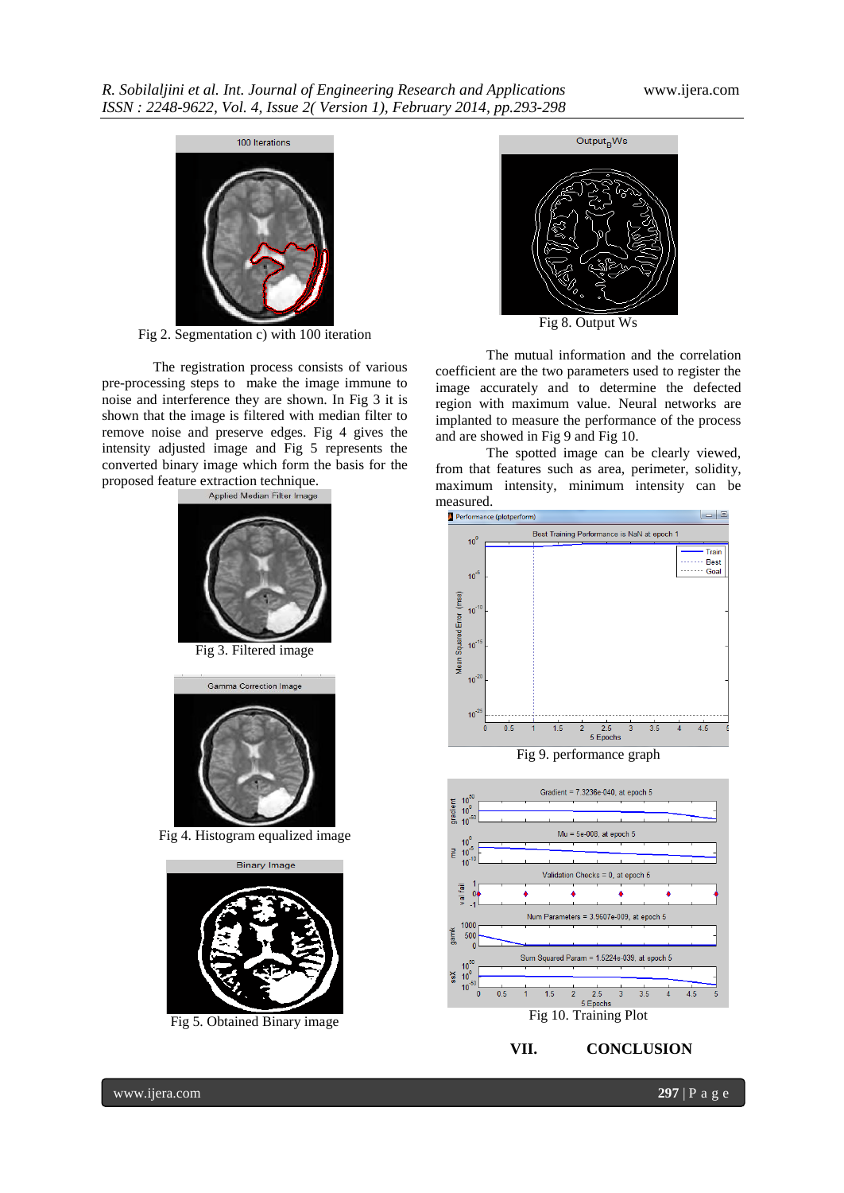

Fig 2. Segmentation c) with 100 iteration

The registration process consists of various pre-processing steps to make the image immune to noise and interference they are shown. In Fig 3 it is shown that the image is filtered with median filter to remove noise and preserve edges. Fig 4 gives the intensity adjusted image and Fig 5 represents the converted binary image which form the basis for the proposed feature extraction technique.



Fig 3. Filtered image



Fig 4. Histogram equalized image



Fig 5. Obtained Binary image



The mutual information and the correlation coefficient are the two parameters used to register the image accurately and to determine the defected region with maximum value. Neural networks are implanted to measure the performance of the process and are showed in Fig 9 and Fig 10.

The spotted image can be clearly viewed, from that features such as area, perimeter, solidity, maximum intensity, minimum intensity can be measured.



Fig 9. performance graph



**VII. CONCLUSION**